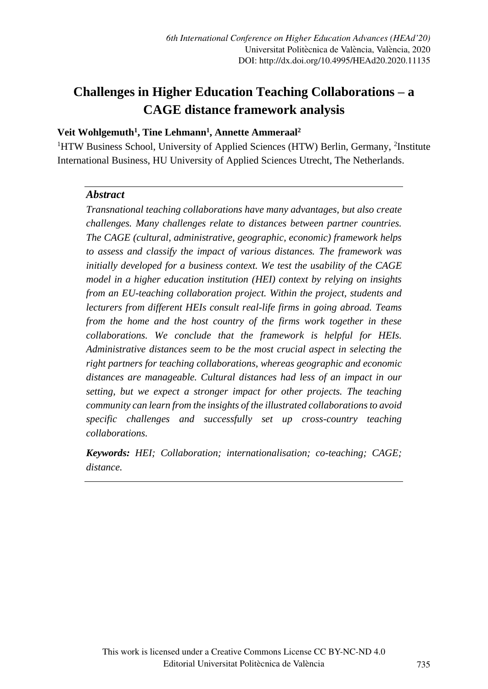# **Challenges in Higher Education Teaching Collaborations – a CAGE distance framework analysis**

## **Veit Wohlgemuth<sup>1</sup> , Tine Lehmann<sup>1</sup> , Annette Ammeraal<sup>2</sup>**

<sup>1</sup>HTW Business School, University of Applied Sciences (HTW) Berlin, Germany, <sup>2</sup>Institute International Business, HU University of Applied Sciences Utrecht, The Netherlands.

#### *Abstract*

*Transnational teaching collaborations have many advantages, but also create challenges. Many challenges relate to distances between partner countries. The CAGE (cultural, administrative, geographic, economic) framework helps to assess and classify the impact of various distances. The framework was initially developed for a business context. We test the usability of the CAGE model in a higher education institution (HEI) context by relying on insights from an EU-teaching collaboration project. Within the project, students and lecturers from different HEIs consult real-life firms in going abroad. Teams from the home and the host country of the firms work together in these collaborations. We conclude that the framework is helpful for HEIs. Administrative distances seem to be the most crucial aspect in selecting the right partners for teaching collaborations, whereas geographic and economic distances are manageable. Cultural distances had less of an impact in our setting, but we expect a stronger impact for other projects. The teaching community can learn from the insights of the illustrated collaborationsto avoid specific challenges and successfully set up cross-country teaching collaborations.* 

*Keywords: HEI; Collaboration; internationalisation; co-teaching; CAGE; distance.*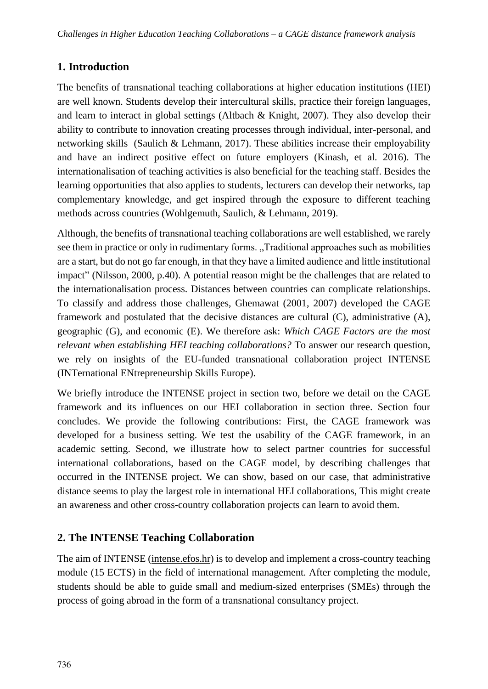## **1. Introduction**

The benefits of transnational teaching collaborations at higher education institutions (HEI) are well known. Students develop their intercultural skills, practice their foreign languages, and learn to interact in global settings (Altbach & Knight, 2007). They also develop their ability to contribute to innovation creating processes through individual, inter-personal, and networking skills (Saulich & Lehmann, 2017). These abilities increase their employability and have an indirect positive effect on future employers (Kinash, et al. 2016). The internationalisation of teaching activities is also beneficial for the teaching staff. Besides the learning opportunities that also applies to students, lecturers can develop their networks, tap complementary knowledge, and get inspired through the exposure to different teaching methods across countries (Wohlgemuth, Saulich, & Lehmann, 2019).

Although, the benefits of transnational teaching collaborations are well established, we rarely see them in practice or only in rudimentary forms. "Traditional approaches such as mobilities are a start, but do not go far enough, in that they have a limited audience and little institutional impact" (Nilsson, 2000, p.40). A potential reason might be the challenges that are related to the internationalisation process. Distances between countries can complicate relationships. To classify and address those challenges, Ghemawat (2001, 2007) developed the CAGE framework and postulated that the decisive distances are cultural (C), administrative (A), geographic (G), and economic (E). We therefore ask: *Which CAGE Factors are the most relevant when establishing HEI teaching collaborations?* To answer our research question, we rely on insights of the EU-funded transnational collaboration project INTENSE (INTernational ENtrepreneurship Skills Europe).

We briefly introduce the INTENSE project in section two, before we detail on the CAGE framework and its influences on our HEI collaboration in section three. Section four concludes. We provide the following contributions: First, the CAGE framework was developed for a business setting. We test the usability of the CAGE framework, in an academic setting. Second, we illustrate how to select partner countries for successful international collaborations, based on the CAGE model, by describing challenges that occurred in the INTENSE project. We can show, based on our case, that administrative distance seems to play the largest role in international HEI collaborations, This might create an awareness and other cross-country collaboration projects can learn to avoid them.

## **2. The INTENSE Teaching Collaboration**

The aim of INTENSE (intense.efos.hr) is to develop and implement a cross-country teaching module (15 ECTS) in the field of international management. After completing the module, students should be able to guide small and medium-sized enterprises (SMEs) through the process of going abroad in the form of a transnational consultancy project.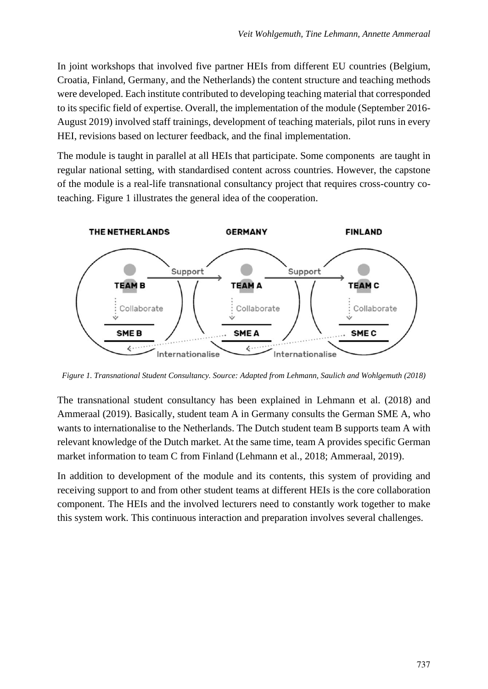In joint workshops that involved five partner HEIs from different EU countries (Belgium, Croatia, Finland, Germany, and the Netherlands) the content structure and teaching methods were developed. Each institute contributed to developing teaching material that corresponded to its specific field of expertise. Overall, the implementation of the module (September 2016- August 2019) involved staff trainings, development of teaching materials, pilot runs in every HEI, revisions based on lecturer feedback, and the final implementation.

The module is taught in parallel at all HEIs that participate. Some components are taught in regular national setting, with standardised content across countries. However, the capstone of the module is a real-life transnational consultancy project that requires cross-country coteaching. Figure 1 illustrates the general idea of the cooperation.



*Figure 1. Transnational Student Consultancy. Source: Adapted from Lehmann, Saulich and Wohlgemuth (2018)*

The transnational student consultancy has been explained in Lehmann et al. (2018) and Ammeraal (2019). Basically, student team A in Germany consults the German SME A, who wants to internationalise to the Netherlands. The Dutch student team B supports team A with relevant knowledge of the Dutch market. At the same time, team A provides specific German market information to team C from Finland (Lehmann et al., 2018; Ammeraal, 2019).

In addition to development of the module and its contents, this system of providing and receiving support to and from other student teams at different HEIs is the core collaboration component. The HEIs and the involved lecturers need to constantly work together to make this system work. This continuous interaction and preparation involves several challenges.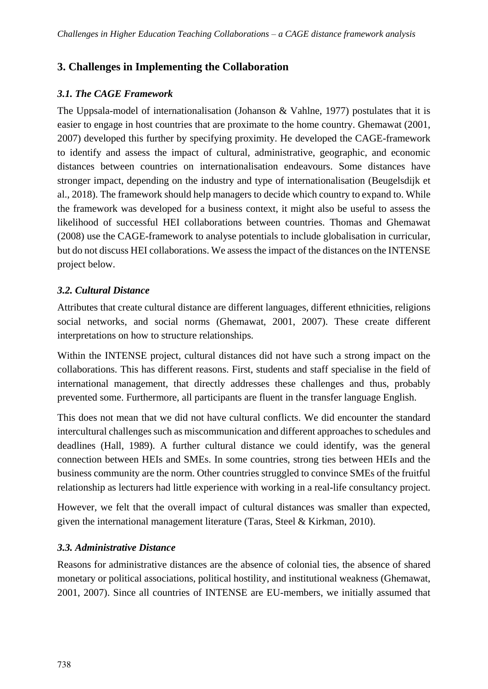# **3. Challenges in Implementing the Collaboration**

## *3.1. The CAGE Framework*

The Uppsala-model of internationalisation (Johanson & Vahlne, 1977) postulates that it is easier to engage in host countries that are proximate to the home country. Ghemawat (2001, 2007) developed this further by specifying proximity. He developed the CAGE-framework to identify and assess the impact of cultural, administrative, geographic, and economic distances between countries on internationalisation endeavours. Some distances have stronger impact, depending on the industry and type of internationalisation (Beugelsdijk et al., 2018). The framework should help managers to decide which country to expand to. While the framework was developed for a business context, it might also be useful to assess the likelihood of successful HEI collaborations between countries. Thomas and Ghemawat (2008) use the CAGE-framework to analyse potentials to include globalisation in curricular, but do not discuss HEI collaborations. We assess the impact of the distances on the INTENSE project below.

### *3.2. Cultural Distance*

Attributes that create cultural distance are different languages, different ethnicities, religions social networks, and social norms (Ghemawat, 2001, 2007). These create different interpretations on how to structure relationships.

Within the INTENSE project, cultural distances did not have such a strong impact on the collaborations. This has different reasons. First, students and staff specialise in the field of international management, that directly addresses these challenges and thus, probably prevented some. Furthermore, all participants are fluent in the transfer language English.

This does not mean that we did not have cultural conflicts. We did encounter the standard intercultural challenges such as miscommunication and different approaches to schedules and deadlines (Hall, 1989). A further cultural distance we could identify, was the general connection between HEIs and SMEs. In some countries, strong ties between HEIs and the business community are the norm. Other countries struggled to convince SMEs of the fruitful relationship as lecturers had little experience with working in a real-life consultancy project.

However, we felt that the overall impact of cultural distances was smaller than expected, given the international management literature (Taras, Steel & Kirkman, 2010).

### *3.3. Administrative Distance*

Reasons for administrative distances are the absence of colonial ties, the absence of shared monetary or political associations, political hostility, and institutional weakness (Ghemawat, 2001, 2007). Since all countries of INTENSE are EU-members, we initially assumed that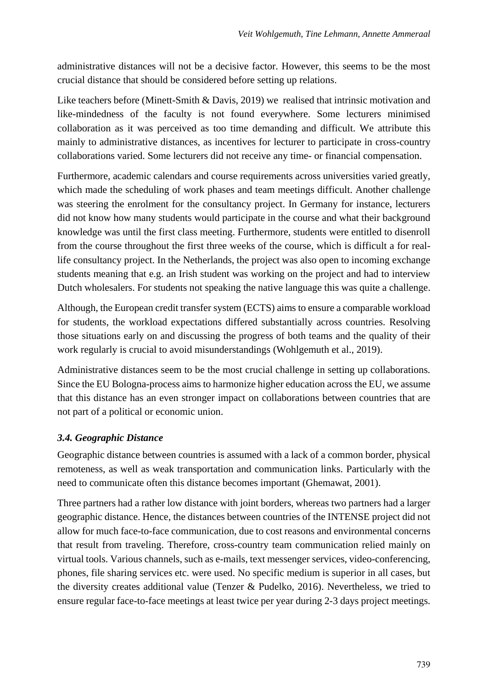administrative distances will not be a decisive factor. However, this seems to be the most crucial distance that should be considered before setting up relations.

Like teachers before (Minett-Smith & Davis, 2019) we realised that intrinsic motivation and like-mindedness of the faculty is not found everywhere. Some lecturers minimised collaboration as it was perceived as too time demanding and difficult. We attribute this mainly to administrative distances, as incentives for lecturer to participate in cross-country collaborations varied. Some lecturers did not receive any time- or financial compensation.

Furthermore, academic calendars and course requirements across universities varied greatly, which made the scheduling of work phases and team meetings difficult. Another challenge was steering the enrolment for the consultancy project. In Germany for instance, lecturers did not know how many students would participate in the course and what their background knowledge was until the first class meeting. Furthermore, students were entitled to disenroll from the course throughout the first three weeks of the course, which is difficult a for reallife consultancy project. In the Netherlands, the project was also open to incoming exchange students meaning that e.g. an Irish student was working on the project and had to interview Dutch wholesalers. For students not speaking the native language this was quite a challenge.

Although, the European credit transfer system (ECTS) aims to ensure a comparable workload for students, the workload expectations differed substantially across countries. Resolving those situations early on and discussing the progress of both teams and the quality of their work regularly is crucial to avoid misunderstandings (Wohlgemuth et al., 2019).

Administrative distances seem to be the most crucial challenge in setting up collaborations. Since the EU Bologna-process aims to harmonize higher education across the EU, we assume that this distance has an even stronger impact on collaborations between countries that are not part of a political or economic union.

### *3.4. Geographic Distance*

Geographic distance between countries is assumed with a lack of a common border, physical remoteness, as well as weak transportation and communication links. Particularly with the need to communicate often this distance becomes important (Ghemawat, 2001).

Three partners had a rather low distance with joint borders, whereas two partners had a larger geographic distance. Hence, the distances between countries of the INTENSE project did not allow for much face-to-face communication, due to cost reasons and environmental concerns that result from traveling. Therefore, cross-country team communication relied mainly on virtual tools. Various channels, such as e-mails, text messenger services, video-conferencing, phones, file sharing services etc. were used. No specific medium is superior in all cases, but the diversity creates additional value (Tenzer & Pudelko, 2016). Nevertheless, we tried to ensure regular face-to-face meetings at least twice per year during 2-3 days project meetings.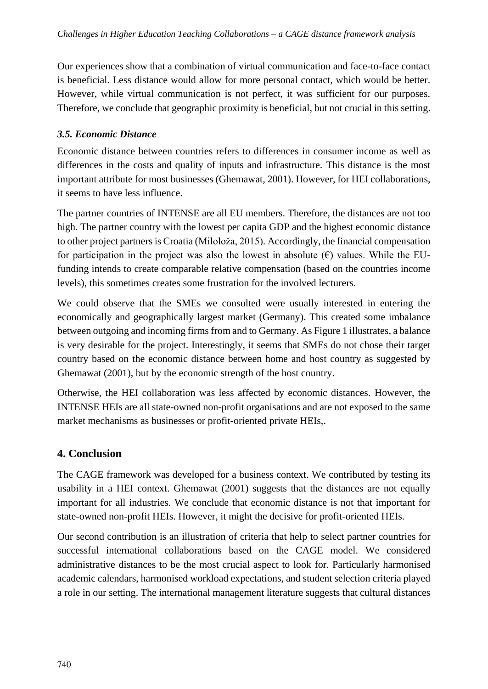Our experiences show that a combination of virtual communication and face-to-face contact is beneficial. Less distance would allow for more personal contact, which would be better. However, while virtual communication is not perfect, it was sufficient for our purposes. Therefore, we conclude that geographic proximity is beneficial, but not crucial in this setting.

#### *3.5. Economic Distance*

Economic distance between countries refers to differences in consumer income as well as differences in the costs and quality of inputs and infrastructure. This distance is the most important attribute for most businesses (Ghemawat, 2001). However, for HEI collaborations, it seems to have less influence.

The partner countries of INTENSE are all EU members. Therefore, the distances are not too high. The partner country with the lowest per capita GDP and the highest economic distance to other project partners is Croatia (Miloloža, 2015). Accordingly, the financial compensation for participation in the project was also the lowest in absolute  $(\epsilon)$  values. While the EUfunding intends to create comparable relative compensation (based on the countries income levels), this sometimes creates some frustration for the involved lecturers.

We could observe that the SMEs we consulted were usually interested in entering the economically and geographically largest market (Germany). This created some imbalance between outgoing and incoming firms from and to Germany. As Figure 1 illustrates, a balance is very desirable for the project. Interestingly, it seems that SMEs do not chose their target country based on the economic distance between home and host country as suggested by Ghemawat (2001), but by the economic strength of the host country.

Otherwise, the HEI collaboration was less affected by economic distances. However, the INTENSE HEIs are all state-owned non-profit organisations and are not exposed to the same market mechanisms as businesses or profit-oriented private HEIs,.

### **4. Conclusion**

The CAGE framework was developed for a business context. We contributed by testing its usability in a HEI context. Ghemawat (2001) suggests that the distances are not equally important for all industries. We conclude that economic distance is not that important for state-owned non-profit HEIs. However, it might the decisive for profit-oriented HEIs.

Our second contribution is an illustration of criteria that help to select partner countries for successful international collaborations based on the CAGE model. We considered administrative distances to be the most crucial aspect to look for. Particularly harmonised academic calendars, harmonised workload expectations, and student selection criteria played a role in our setting. The international management literature suggests that cultural distances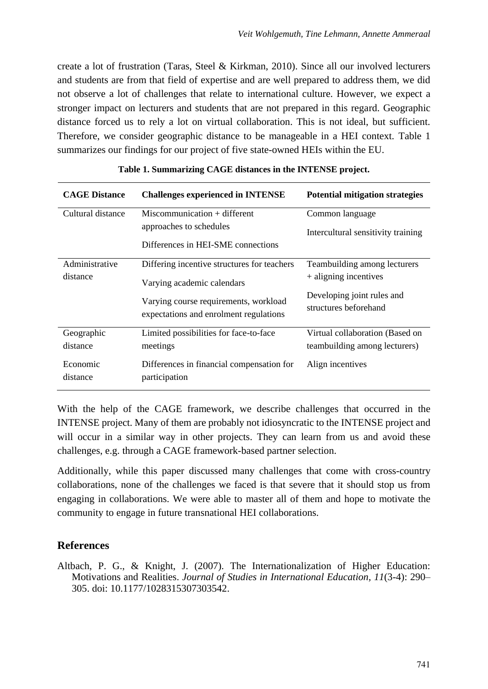create a lot of frustration (Taras, Steel & Kirkman, 2010). Since all our involved lecturers and students are from that field of expertise and are well prepared to address them, we did not observe a lot of challenges that relate to international culture. However, we expect a stronger impact on lecturers and students that are not prepared in this regard. Geographic distance forced us to rely a lot on virtual collaboration. This is not ideal, but sufficient. Therefore, we consider geographic distance to be manageable in a HEI context. Table 1 summarizes our findings for our project of five state-owned HEIs within the EU.

| <b>CAGE Distance</b>       | <b>Challenges experienced in INTENSE</b>                                                                                                                     | <b>Potential mitigation strategies</b>                                                                       |
|----------------------------|--------------------------------------------------------------------------------------------------------------------------------------------------------------|--------------------------------------------------------------------------------------------------------------|
| Cultural distance          | $Miscommunication + different$<br>approaches to schedules<br>Differences in HEI-SME connections                                                              | Common language<br>Intercultural sensitivity training                                                        |
| Administrative<br>distance | Differing incentive structures for teachers<br>Varying academic calendars<br>Varying course requirements, workload<br>expectations and enrolment regulations | Teambuilding among lecturers<br>+ aligning incentives<br>Developing joint rules and<br>structures beforehand |
| Geographic<br>distance     | Limited possibilities for face-to-face<br>meetings                                                                                                           | Virtual collaboration (Based on<br>teambuilding among lecturers)                                             |
| Economic<br>distance       | Differences in financial compensation for<br>participation                                                                                                   | Align incentives                                                                                             |

#### **Table 1. Summarizing CAGE distances in the INTENSE project.**

With the help of the CAGE framework, we describe challenges that occurred in the INTENSE project. Many of them are probably not idiosyncratic to the INTENSE project and will occur in a similar way in other projects. They can learn from us and avoid these challenges, e.g. through a CAGE framework-based partner selection.

Additionally, while this paper discussed many challenges that come with cross-country collaborations, none of the challenges we faced is that severe that it should stop us from engaging in collaborations. We were able to master all of them and hope to motivate the community to engage in future transnational HEI collaborations.

### **References**

Altbach, P. G., & Knight, J. (2007). The Internationalization of Higher Education: Motivations and Realities. *Journal of Studies in International Education, 11*(3-4): 290– 305. doi: 10.1177/1028315307303542.